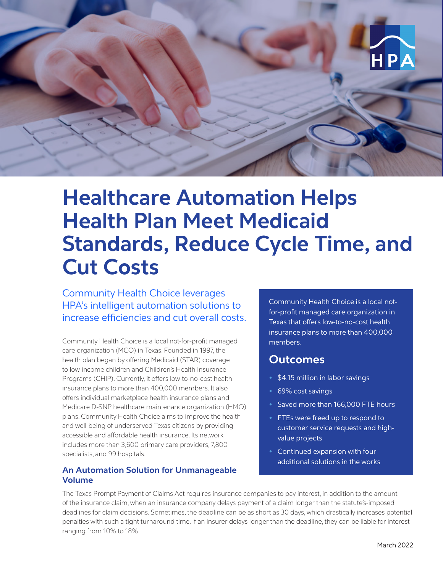

# **Healthcare Automation Helps Health Plan Meet Medicaid Standards, Reduce Cycle Time, and Cut Costs**

Community Health Choice leverages HPA's intelligent automation solutions to increase efficiencies and cut overall costs.

Community Health Choice is a local not-for-profit managed care organization (MCO) in Texas. Founded in 1997, the health plan began by offering Medicaid (STAR) coverage to low-income children and Children's Health Insurance Programs (CHIP). Currently, it offers low-to-no-cost health insurance plans to more than 400,000 members. It also offers individual marketplace health insurance plans and Medicare D-SNP healthcare maintenance organization (HMO) plans. Community Health Choice aims to improve the health and well-being of underserved Texas citizens by providing accessible and affordable health insurance. Its network includes more than 3,600 primary care providers, 7,800 specialists, and 99 hospitals.

#### **An Automation Solution for Unmanageable Volume**

Community Health Choice is a local notfor-profit managed care organization in Texas that offers low-to-no-cost health insurance plans to more than 400,000 members.

### **Outcomes**

- **•** \$4.15 million in labor savings
- **•** 69% cost savings
- **•** Saved more than 166,000 FTE hours
- **•** FTEs were freed up to respond to customer service requests and highvalue projects
- **•** Continued expansion with four additional solutions in the works

The Texas Prompt Payment of Claims Act requires insurance companies to pay interest, in addition to the amount of the insurance claim, when an insurance company delays payment of a claim longer than the statute's-imposed deadlines for claim decisions. Sometimes, the deadline can be as short as 30 days, which drastically increases potential penalties with such a tight turnaround time. If an insurer delays longer than the deadline, they can be liable for interest ranging from 10% to 18%.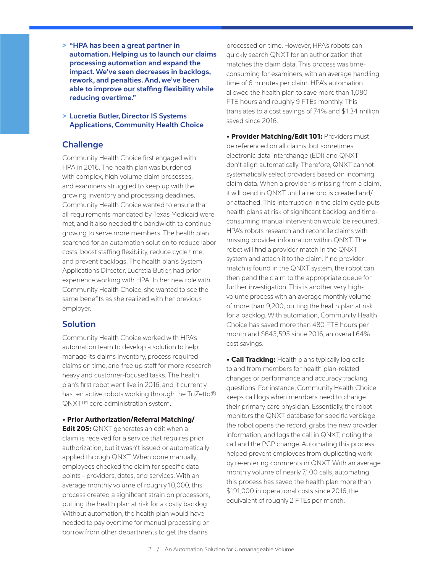**> "HPA has been a great partner in automation. Helping us to launch our claims processing automation and expand the impact. We've seen decreases in backlogs, rework, and penalties. And, we've been able to improve our staffing flexibility while reducing overtime."** 

**> Lucretia Butler, Director IS Systems Applications, Community Health Choice**

#### **Challenge**

Community Health Choice first engaged with HPA in 2016. The health plan was burdened with complex, high-volume claim processes, and examiners struggled to keep up with the growing inventory and processing deadlines. Community Health Choice wanted to ensure that all requirements mandated by Texas Medicaid were met, and it also needed the bandwidth to continue growing to serve more members. The health plan searched for an automation solution to reduce labor costs, boost staffing flexibility, reduce cycle time, and prevent backlogs. The health plan's System Applications Director, Lucretia Butler, had prior experience working with HPA. In her new role with Community Health Choice, she wanted to see the same benefits as she realized with her previous employer.

#### **Solution**

Community Health Choice worked with HPA's automation team to develop a solution to help manage its claims inventory, process required claims on time, and free up staff for more researchheavy and customer-focused tasks. The health plan's first robot went live in 2016, and it currently has ten active robots working through the TriZetto® QNXT™ core administration system.

#### • Prior Authorization/Referral Matching/

**Edit 205:** QNXT generates an edit when a claim is received for a service that requires prior authorization, but it wasn't issued or automatically applied through QNXT. When done manually, employees checked the claim for specific data points – providers, dates, and services. With an average monthly volume of roughly 10,000, this process created a significant strain on processors, putting the health plan at risk for a costly backlog. Without automation, the health plan would have needed to pay overtime for manual processing or borrow from other departments to get the claims

processed on time. However, HPA's robots can quickly search QNXT for an authorization that matches the claim data. This process was timeconsuming for examiners, with an average handling time of 6 minutes per claim. HPA's automation allowed the health plan to save more than 1,080 FTE hours and roughly 9 FTEs monthly. This translates to a cost savings of 74% and \$1.34 million saved since 2016.

**• Provider Matching/Edit 101: Providers must** be referenced on all claims, but sometimes electronic data interchange (EDI) and QNXT don't align automatically. Therefore, QNXT cannot systematically select providers based on incoming claim data. When a provider is missing from a claim, it will pend in QNXT until a record is created and/ or attached. This interruption in the claim cycle puts health plans at risk of significant backlog, and timeconsuming manual intervention would be required. HPA's robots research and reconcile claims with missing provider information within QNXT. The robot will find a provider match in the QNXT system and attach it to the claim. If no provider match is found in the QNXT system, the robot can then pend the claim to the appropriate queue for further investigation. This is another very highvolume process with an average monthly volume of more than 9,200, putting the health plan at risk for a backlog. With automation, Community Health Choice has saved more than 480 FTE hours per month and \$643,595 since 2016, an overall 64% cost savings.

• Call Tracking: Health plans typically log calls to and from members for health plan-related changes or performance and accuracy tracking questions. For instance, Community Health Choice keeps call logs when members need to change their primary care physician. Essentially, the robot monitors the QNXT database for specific verbiage; the robot opens the record, grabs the new provider information, and logs the call in QNXT, noting the call and the PCP change. Automating this process helped prevent employees from duplicating work by re-entering comments in QNXT. With an average monthly volume of nearly 7,100 calls, automating this process has saved the health plan more than \$191,000 in operational costs since 2016, the equivalent of roughly 2 FTEs per month.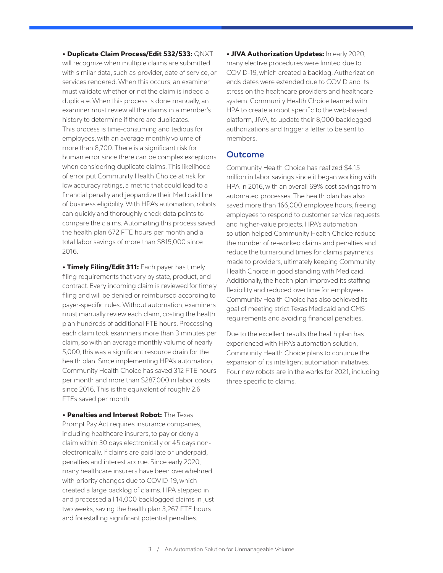• Duplicate Claim Process/Edit 532/533: QNXT

will recognize when multiple claims are submitted with similar data, such as provider, date of service, or services rendered. When this occurs, an examiner must validate whether or not the claim is indeed a duplicate. When this process is done manually, an examiner must review all the claims in a member's history to determine if there are duplicates. This process is time-consuming and tedious for employees, with an average monthly volume of more than 8,700. There is a significant risk for human error since there can be complex exceptions when considering duplicate claims. This likelihood of error put Community Health Choice at risk for low accuracy ratings, a metric that could lead to a financial penalty and jeopardize their Medicaid line of business eligibility. With HPA's automation, robots can quickly and thoroughly check data points to compare the claims. Automating this process saved the health plan 672 FTE hours per month and a total labor savings of more than \$815,000 since 2016.

• Timely Filing/Edit 311: Each payer has timely filing requirements that vary by state, product, and contract. Every incoming claim is reviewed for timely filing and will be denied or reimbursed according to payer-specific rules. Without automation, examiners must manually review each claim, costing the health plan hundreds of additional FTE hours. Processing each claim took examiners more than 3 minutes per claim, so with an average monthly volume of nearly 5,000, this was a significant resource drain for the health plan. Since implementing HPA's automation, Community Health Choice has saved 312 FTE hours per month and more than \$287,000 in labor costs since 2016. This is the equivalent of roughly 2.6 FTEs saved per month.

• Penalties and Interest Robot: The Texas Prompt Pay Act requires insurance companies, including healthcare insurers, to pay or deny a claim within 30 days electronically or 45 days nonelectronically. If claims are paid late or underpaid, penalties and interest accrue. Since early 2020, many healthcare insurers have been overwhelmed with priority changes due to COVID-19, which created a large backlog of claims. HPA stepped in and processed all 14,000 backlogged claims in just two weeks, saving the health plan 3,267 FTE hours and forestalling significant potential penalties.

**• JIVA Authorization Updates: In early 2020,** many elective procedures were limited due to COVID-19, which created a backlog. Authorization ends dates were extended due to COVID and its stress on the healthcare providers and healthcare system. Community Health Choice teamed with HPA to create a robot specific to the web-based platform, JIVA, to update their 8,000 backlogged authorizations and trigger a letter to be sent to members.

#### **Outcome**

Community Health Choice has realized \$4.15 million in labor savings since it began working with HPA in 2016, with an overall 69% cost savings from automated processes. The health plan has also saved more than 166,000 employee hours, freeing employees to respond to customer service requests and higher-value projects. HPA's automation solution helped Community Health Choice reduce the number of re-worked claims and penalties and reduce the turnaround times for claims payments made to providers, ultimately keeping Community Health Choice in good standing with Medicaid. Additionally, the health plan improved its staffing flexibility and reduced overtime for employees. Community Health Choice has also achieved its goal of meeting strict Texas Medicaid and CMS requirements and avoiding financial penalties.

Due to the excellent results the health plan has experienced with HPA's automation solution, Community Health Choice plans to continue the expansion of its intelligent automation initiatives. Four new robots are in the works for 2021, including three specific to claims.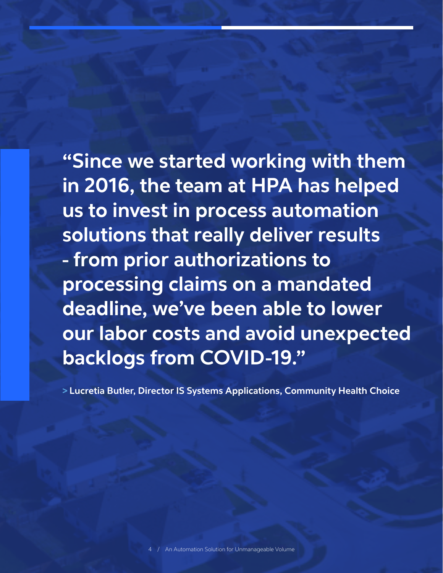**"Since we started working with them in 2016, the team at HPA has helped us to invest in process automation solutions that really deliver results - from prior authorizations to processing claims on a mandated deadline, we've been able to lower our labor costs and avoid unexpected backlogs from COVID-19."**

**> Lucretia Butler, Director IS Systems Applications, Community Health Choice**